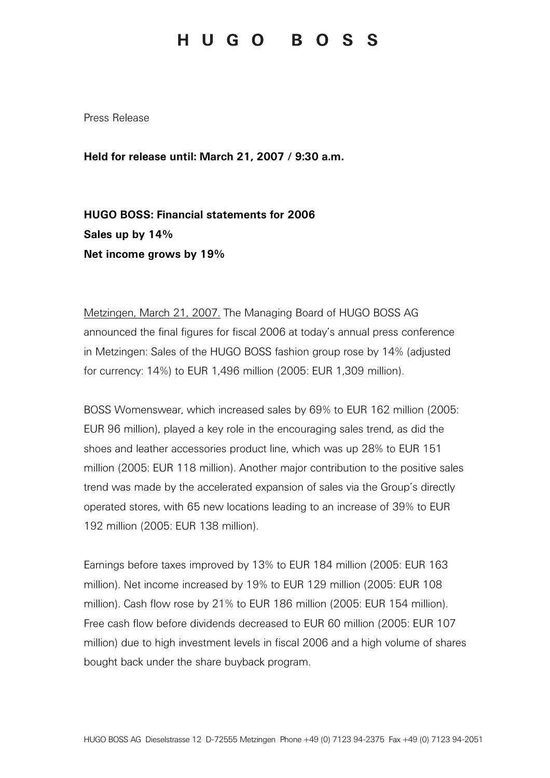## HUGO BOSS

Press Release

Held for release until: March 21, 2007 / 9:30 a.m.

HUGO BOSS: Financial statements for 2006 Sales up by 14% Net income grows by 19%

Metzingen, March 21, 2007. The Managing Board of HUGO BOSS AG announced the final figures for fiscal 2006 at today's annual press conference in Metzingen: Sales of the HUGO BOSS fashion group rose by 14% (adjusted for currency: 14%) to EUR 1,496 million (2005: EUR 1,309 million).

BOSS Womenswear, which increased sales by 69% to EUR 162 million (2005: EUR 96 million), played a key role in the encouraging sales trend, as did the shoes and leather accessories product line, which was up 28% to EUR 151 million (2005: EUR 118 million). Another major contribution to the positive sales trend was made by the accelerated expansion of sales via the Group's directly operated stores, with 65 new locations leading to an increase of 39% to EUR 192 million (2005: EUR 138 million).

Earnings before taxes improved by 13% to EUR 184 million (2005: EUR 163 million). Net income increased by 19% to EUR 129 million (2005: EUR 108 million). Cash flow rose by 21% to EUR 186 million (2005: EUR 154 million). Free cash flow before dividends decreased to EUR 60 million (2005: EUR 107 million) due to high investment levels in fiscal 2006 and a high volume of shares bought back under the share buyback program.